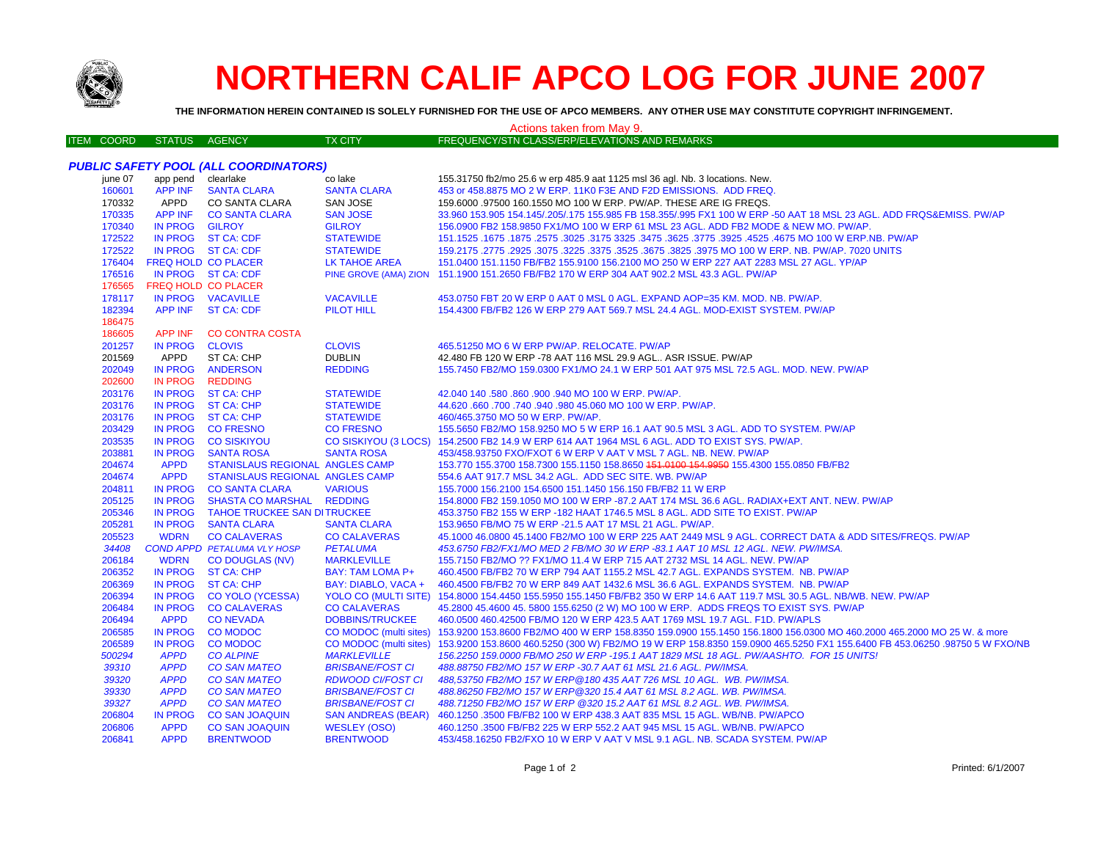

## **NORTHERN CALIF APCO LOG FOR JUNE 2007**

THE INFORMATION HEREIN CONTAINED IS SOLELY FURNISHED FOR THE USE OF APCO MEMBERS. ANY OTHER USE MAY CONSTITUTE COPYRIGHT INFRINGEMENT.

## Actions taken from May 9.

| <b>ITEM COORD</b>                            | STATUS AGENCY       |                                    | <b>TX CITY</b>            | FREQUENCY/STN CLASS/ERP/ELEVATIONS AND REMARKS                                                                                                   |  |  |  |  |  |
|----------------------------------------------|---------------------|------------------------------------|---------------------------|--------------------------------------------------------------------------------------------------------------------------------------------------|--|--|--|--|--|
|                                              |                     |                                    |                           |                                                                                                                                                  |  |  |  |  |  |
| <b>PUBLIC SAFETY POOL (ALL COORDINATORS)</b> |                     |                                    |                           |                                                                                                                                                  |  |  |  |  |  |
| june 07                                      | app pend clearlake  |                                    | co lake                   | 155.31750 fb2/mo 25.6 w erp 485.9 aat 1125 msl 36 agl. Nb. 3 locations. New.                                                                     |  |  |  |  |  |
| 160601                                       | <b>APP INF</b>      | <b>SANTA CLARA</b>                 | <b>SANTA CLARA</b>        | 453 or 458.8875 MO 2 W ERP. 11K0 F3E AND F2D EMISSIONS. ADD FREQ.                                                                                |  |  |  |  |  |
| 170332                                       | APPD                | <b>CO SANTA CLARA</b>              | SAN JOSE                  | 159,6000 .97500 160,1550 MO 100 W ERP, PW/AP, THESE ARE IG FREQS.                                                                                |  |  |  |  |  |
| 170335                                       | <b>APP INF</b>      | <b>CO SANTA CLARA</b>              | <b>SAN JOSE</b>           | 33.960 153.905 154.145/.205/.175 155.985 FB 158.355/.995 FX1 100 W ERP -50 AAT 18 MSL 23 AGL. ADD FRQS&EMISS. PW/AP                              |  |  |  |  |  |
| 170340                                       | <b>IN PROG</b>      | <b>GILROY</b>                      | <b>GILROY</b>             | 156.0900 FB2 158.9850 FX1/MO 100 W ERP 61 MSL 23 AGL. ADD FB2 MODE & NEW MO. PW/AP.                                                              |  |  |  |  |  |
| 172522                                       |                     | IN PROG ST CA: CDF                 | <b>STATEWIDE</b>          | 151.1525 .1675 .1677 .3325 .4525 .4525 .3925 .3775 .3625 .3625 .3775 .3625 .3625 .1675 .1677 .1525 .1677 .1525                                   |  |  |  |  |  |
| 172522                                       |                     | IN PROG ST CA: CDF                 | <b>STATEWIDE</b>          | 159.2175 .2775 .2925 .3075 .3225 .3375 .3525 .3675 .3825 .3975 MO 100 W ERP. NB. PW/AP. 7020 UNITS                                               |  |  |  |  |  |
| 176404                                       | FREQ HOLD CO PLACER |                                    | <b>LK TAHOE AREA</b>      | 151.0400 151.1150 FB/FB2 155.9100 156.2100 MO 250 W ERP 227 AAT 2283 MSL 27 AGL. YP/AP                                                           |  |  |  |  |  |
| 176516                                       |                     | IN PROG ST CA: CDF                 |                           | PINE GROVE (AMA) ZION 151.1900 151.2650 FB/FB2 170 W ERP 304 AAT 902.2 MSL 43.3 AGL. PW/AP                                                       |  |  |  |  |  |
| 176565                                       | FREQ HOLD CO PLACER |                                    |                           |                                                                                                                                                  |  |  |  |  |  |
| 178117                                       |                     | IN PROG VACAVILLE                  | <b>VACAVILLE</b>          | 453.0750 FBT 20 W ERP 0 AAT 0 MSL 0 AGL. EXPAND AOP=35 KM. MOD. NB. PW/AP.                                                                       |  |  |  |  |  |
| 182394                                       | <b>APP INF</b>      | <b>ST CA: CDF</b>                  | <b>PILOT HILL</b>         | 154.4300 FB/FB2 126 W ERP 279 AAT 569.7 MSL 24.4 AGL. MOD-EXIST SYSTEM. PW/AP                                                                    |  |  |  |  |  |
| 186475                                       |                     |                                    |                           |                                                                                                                                                  |  |  |  |  |  |
| 186605                                       | APP INF             | <b>CO CONTRA COSTA</b>             |                           |                                                                                                                                                  |  |  |  |  |  |
| 201257                                       | <b>IN PROG</b>      | <b>CLOVIS</b>                      | <b>CLOVIS</b>             | 465.51250 MO 6 W ERP PW/AP. RELOCATE. PW/AP                                                                                                      |  |  |  |  |  |
| 201569                                       | APPD                | ST CA: CHP                         | <b>DUBLIN</b>             | 42.480 FB 120 W ERP -78 AAT 116 MSL 29.9 AGL., ASR ISSUE, PW/AP                                                                                  |  |  |  |  |  |
| 202049                                       | <b>IN PROG</b>      | <b>ANDERSON</b>                    | <b>REDDING</b>            | 155.7450 FB2/MO 159.0300 FX1/MO 24.1 W ERP 501 AAT 975 MSL 72.5 AGL. MOD. NEW. PW/AP                                                             |  |  |  |  |  |
| 202600                                       | <b>IN PROG</b>      | <b>REDDING</b>                     |                           |                                                                                                                                                  |  |  |  |  |  |
| 203176                                       | <b>IN PROG</b>      | <b>ST CA: CHP</b>                  | <b>STATEWIDE</b>          | 42.040 140 .580 .860 .900 .940 MO 100 W ERP. PW/AP.                                                                                              |  |  |  |  |  |
| 203176                                       | <b>IN PROG</b>      | <b>ST CA: CHP</b>                  | <b>STATEWIDE</b>          | 44.620 .660 .700 .740 .940 .980 45.060 MO 100 W ERP. PW/AP.                                                                                      |  |  |  |  |  |
| 203176                                       | <b>IN PROG</b>      | <b>ST CA: CHP</b>                  | <b>STATEWIDE</b>          | 460/465.3750 MO 50 W ERP. PW/AP.                                                                                                                 |  |  |  |  |  |
| 203429                                       | <b>IN PROG</b>      | <b>CO FRESNO</b>                   | <b>CO FRESNO</b>          | 155.5650 FB2/MO 158.9250 MO 5 W ERP 16.1 AAT 90.5 MSL 3 AGL. ADD TO SYSTEM. PW/AP                                                                |  |  |  |  |  |
| 203535                                       | <b>IN PROG</b>      | <b>CO SISKIYOU</b>                 |                           | CO SISKIYOU (3 LOCS) 154.2500 FB2 14.9 W ERP 614 AAT 1964 MSL 6 AGL. ADD TO EXIST SYS. PW/AP.                                                    |  |  |  |  |  |
| 203881                                       | <b>IN PROG</b>      | <b>SANTA ROSA</b>                  | <b>SANTA ROSA</b>         | 453/458.93750 FXO/FXOT 6 W ERP V AAT V MSL 7 AGL. NB. NEW. PW/AP                                                                                 |  |  |  |  |  |
| 204674                                       | <b>APPD</b>         | STANISLAUS REGIONAL ANGLES CAMP    |                           | 153.770 155.3700 158.7300 155.1150 158.8650 151.0100 154.9950 155.4300 155.0850 FB/FB2                                                           |  |  |  |  |  |
| 204674                                       | <b>APPD</b>         | STANISLAUS REGIONAL ANGLES CAMP    |                           | 554.6 AAT 917.7 MSL 34.2 AGL. ADD SEC SITE. WB. PW/AP                                                                                            |  |  |  |  |  |
| 204811                                       | <b>IN PROG</b>      | <b>CO SANTA CLARA</b>              | <b>VARIOUS</b>            | 155.7000 156.2100 154.6500 151.1450 156.150 FB/FB2 11 W ERP                                                                                      |  |  |  |  |  |
| 205125                                       | <b>IN PROG</b>      | <b>SHASTA CO MARSHAL</b>           | <b>REDDING</b>            | 154.8000 FB2 159.1050 MO 100 W ERP -87.2 AAT 174 MSL 36.6 AGL. RADIAX+EXT ANT. NEW. PW/AP                                                        |  |  |  |  |  |
| 205346                                       | <b>IN PROG</b>      | <b>TAHOE TRUCKEE SAN DITRUCKEE</b> |                           | 453.3750 FB2 155 W ERP -182 HAAT 1746.5 MSL 8 AGL. ADD SITE TO EXIST. PW/AP                                                                      |  |  |  |  |  |
| 205281                                       | <b>IN PROG</b>      | <b>SANTA CLARA</b>                 | <b>SANTA CLARA</b>        | 153.9650 FB/MO 75 W ERP -21.5 AAT 17 MSL 21 AGL. PW/AP.                                                                                          |  |  |  |  |  |
| 205523                                       | <b>WDRN</b>         | <b>CO CALAVERAS</b>                | <b>CO CALAVERAS</b>       | 45.1000 46.0800 45.1400 FB2/MO 100 W ERP 225 AAT 2449 MSL 9 AGL. CORRECT DATA & ADD SITES/FREQS. PW/AP                                           |  |  |  |  |  |
| 34408                                        |                     | COND APPD PETALUMA VLY HOSP        | <b>PETALUMA</b>           | 453.6750 FB2/FX1/MO MED 2 FB/MO 30 W ERP -83.1 AAT 10 MSL 12 AGL. NEW. PW/IMSA.                                                                  |  |  |  |  |  |
| 206184                                       | <b>WDRN</b>         | <b>CO DOUGLAS (NV)</b>             | <b>MARKLEVILLE</b>        | 155.7150 FB2/MO ?? FX1/MO 11.4 W ERP 715 AAT 2732 MSL 14 AGL. NEW. PW/AP                                                                         |  |  |  |  |  |
| 206352                                       | <b>IN PROG</b>      | <b>ST CA: CHP</b>                  | <b>BAY: TAM LOMA P+</b>   | 460.4500 FB/FB2 70 W ERP 794 AAT 1155.2 MSL 42.7 AGL. EXPANDS SYSTEM. NB. PW/AP                                                                  |  |  |  |  |  |
| 206369                                       | <b>IN PROG</b>      | <b>ST CA: CHP</b>                  | BAY: DIABLO, VACA +       | 460.4500 FB/FB2 70 W ERP 849 AAT 1432.6 MSL 36.6 AGL. EXPANDS SYSTEM. NB. PW/AP                                                                  |  |  |  |  |  |
| 206394                                       | <b>IN PROG</b>      | <b>CO YOLO (YCESSA)</b>            |                           | YOLO CO (MULTI SITE) 154.8000 154.4450 155.5950 155.1450 FB/FB2 350 W ERP 14.6 AAT 119.7 MSL 30.5 AGL. NB/WB. NEW. PW/AP                         |  |  |  |  |  |
| 206484                                       | <b>IN PROG</b>      | <b>CO CALAVERAS</b>                | <b>CO CALAVERAS</b>       | 45.2800 45.4600 45.5800 155.6250 (2 W) MO 100 W ERP. ADDS FREQS TO EXIST SYS. PW/AP                                                              |  |  |  |  |  |
| 206494                                       | <b>APPD</b>         | <b>CONEVADA</b>                    | <b>DOBBINS/TRUCKEE</b>    | 460.0500 460.42500 FB/MO 120 W ERP 423.5 AAT 1769 MSL 19.7 AGL. F1D. PW/APLS                                                                     |  |  |  |  |  |
| 206585                                       | <b>IN PROG</b>      | <b>CO MODOC</b>                    |                           | CO MODOC (multi sites) 153.9200 153.8600 FB2/MO 400 W ERP 158.8350 159.0900 155.1450 156.1800 156.0300 MO 460.2000 465.2000 MO 25 W. & more      |  |  |  |  |  |
| 206589                                       | <b>IN PROG</b>      | <b>CO MODOC</b>                    |                           | CO MODOC (multi sites) 153.9200 153.8600 460.5250 (300 W) FB2/MO 19 W ERP 158.8350 159.0900 465.5250 FX1 155.6400 FB 453.06250 .98750 5 W FXO/NB |  |  |  |  |  |
| 500294                                       | <b>APPD</b>         | <b>CO ALPINE</b>                   | <b>MARKLEVILLE</b>        | 156.2250 159.0000 FB/MO 250 W ERP -195.1 AAT 1829 MSL 18 AGL. PW/AASHTO. FOR 15 UNITS!                                                           |  |  |  |  |  |
| 39310                                        | <b>APPD</b>         | <b>CO SAN MATEO</b>                | <b>BRISBANE/FOST CI</b>   | 488.88750 FB2/MO 157 W ERP -30.7 AAT 61 MSL 21.6 AGL, PW/IMSA.                                                                                   |  |  |  |  |  |
| 39320                                        | <b>APPD</b>         | <b>CO SAN MATEO</b>                | <b>RDWOOD CI/FOST CI</b>  | 488,53750 FB2/MO 157 W ERP@180 435 AAT 726 MSL 10 AGL. WB. PW/IMSA.                                                                              |  |  |  |  |  |
| 39330                                        | <b>APPD</b>         | <b>CO SAN MATEO</b>                | <b>BRISBANE/FOST CI</b>   | 488.86250 FB2/MO 157 W ERP@320 15.4 AAT 61 MSL 8.2 AGL. WB. PW/IMSA.                                                                             |  |  |  |  |  |
| 39327                                        | <b>APPD</b>         | <b>CO SAN MATEO</b>                | <b>BRISBANE/FOST CI</b>   | 488.71250 FB2/MO 157 W ERP @320 15.2 AAT 61 MSL 8.2 AGL. WB. PW/IMSA.                                                                            |  |  |  |  |  |
| 206804                                       | <b>IN PROG</b>      | <b>CO SAN JOAQUIN</b>              | <b>SAN ANDREAS (BEAR)</b> | 460.1250 .3500 FB/FB2 100 W ERP 438.3 AAT 835 MSL 15 AGL. WB/NB. PW/APCO                                                                         |  |  |  |  |  |
| 206806                                       | <b>APPD</b>         | <b>CO SAN JOAQUIN</b>              | <b>WESLEY (OSO)</b>       | 460.1250 .3500 FB/FB2 225 W ERP 552.2 AAT 945 MSL 15 AGL. WB/NB. PW/APCO                                                                         |  |  |  |  |  |
| 206841                                       | <b>APPD</b>         | <b>BRENTWOOD</b>                   | <b>BRENTWOOD</b>          | 453/458.16250 FB2/FXO 10 W ERP V AAT V MSL 9.1 AGL. NB. SCADA SYSTEM. PW/AP                                                                      |  |  |  |  |  |